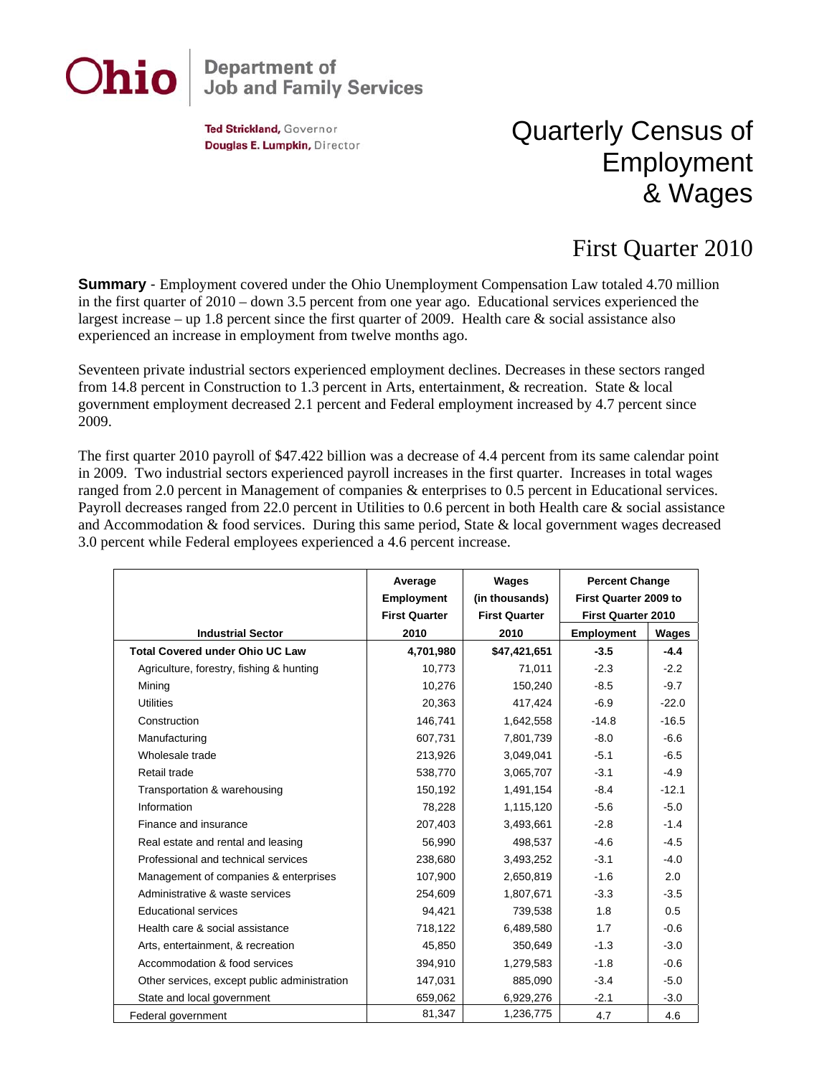

## **Department of<br>Job and Family Services**

Ted Strickland, Governor Douglas E. Lumpkin, Director

## Quarterly Census of Employment & Wages

## First Quarter 2010

**Summary** - Employment covered under the Ohio Unemployment Compensation Law totaled 4.70 million in the first quarter of 2010 – down 3.5 percent from one year ago. Educational services experienced the largest increase – up 1.8 percent since the first quarter of 2009. Health care & social assistance also experienced an increase in employment from twelve months ago.

Seventeen private industrial sectors experienced employment declines. Decreases in these sectors ranged from 14.8 percent in Construction to 1.3 percent in Arts, entertainment, & recreation. State & local government employment decreased 2.1 percent and Federal employment increased by 4.7 percent since 2009.

The first quarter 2010 payroll of \$47.422 billion was a decrease of 4.4 percent from its same calendar point in 2009. Two industrial sectors experienced payroll increases in the first quarter. Increases in total wages ranged from 2.0 percent in Management of companies & enterprises to 0.5 percent in Educational services. Payroll decreases ranged from 22.0 percent in Utilities to 0.6 percent in both Health care & social assistance and Accommodation & food services. During this same period, State & local government wages decreased 3.0 percent while Federal employees experienced a 4.6 percent increase.

|                                              | Average<br><b>Employment</b><br><b>First Quarter</b> | Wages<br>(in thousands)<br><b>First Quarter</b> | <b>Percent Change</b><br>First Quarter 2009 to<br><b>First Quarter 2010</b> |         |
|----------------------------------------------|------------------------------------------------------|-------------------------------------------------|-----------------------------------------------------------------------------|---------|
| <b>Industrial Sector</b>                     | 2010                                                 | 2010                                            | <b>Employment</b>                                                           | Wages   |
| <b>Total Covered under Ohio UC Law</b>       | 4,701,980                                            | \$47,421,651                                    | $-3.5$                                                                      | $-4.4$  |
| Agriculture, forestry, fishing & hunting     | 10,773                                               | 71,011                                          | $-2.3$                                                                      | $-2.2$  |
| Mining                                       | 10,276                                               | 150,240                                         | $-8.5$                                                                      | $-9.7$  |
| <b>Utilities</b>                             | 20,363                                               | 417,424                                         | $-6.9$                                                                      | $-22.0$ |
| Construction                                 | 146,741                                              | 1,642,558                                       | $-14.8$                                                                     | $-16.5$ |
| Manufacturing                                | 607,731                                              | 7,801,739                                       | $-8.0$                                                                      | $-6.6$  |
| Wholesale trade                              | 213,926                                              | 3,049,041                                       | $-5.1$                                                                      | $-6.5$  |
| Retail trade                                 | 538,770                                              | 3,065,707                                       | $-3.1$                                                                      | $-4.9$  |
| Transportation & warehousing                 | 150,192                                              | 1,491,154                                       | $-8.4$                                                                      | $-12.1$ |
| Information                                  | 78,228                                               | 1,115,120                                       | $-5.6$                                                                      | $-5.0$  |
| Finance and insurance                        | 207,403                                              | 3,493,661                                       | $-2.8$                                                                      | $-1.4$  |
| Real estate and rental and leasing           | 56,990                                               | 498,537                                         | $-4.6$                                                                      | $-4.5$  |
| Professional and technical services          | 238,680                                              | 3,493,252                                       | $-3.1$                                                                      | $-4.0$  |
| Management of companies & enterprises        | 107,900                                              | 2,650,819                                       | $-1.6$                                                                      | 2.0     |
| Administrative & waste services              | 254,609                                              | 1,807,671                                       | $-3.3$                                                                      | $-3.5$  |
| <b>Educational services</b>                  | 94,421                                               | 739,538                                         | 1.8                                                                         | 0.5     |
| Health care & social assistance              | 718,122                                              | 6,489,580                                       | 1.7                                                                         | $-0.6$  |
| Arts, entertainment, & recreation            | 45,850                                               | 350,649                                         | $-1.3$                                                                      | $-3.0$  |
| Accommodation & food services                | 394,910                                              | 1,279,583                                       | $-1.8$                                                                      | $-0.6$  |
| Other services, except public administration | 147,031                                              | 885,090                                         | $-3.4$                                                                      | $-5.0$  |
| State and local government                   | 659,062                                              | 6,929,276                                       | $-2.1$                                                                      | $-3.0$  |
| Federal government                           | 81,347                                               | 1,236,775                                       | 4.7                                                                         | 4.6     |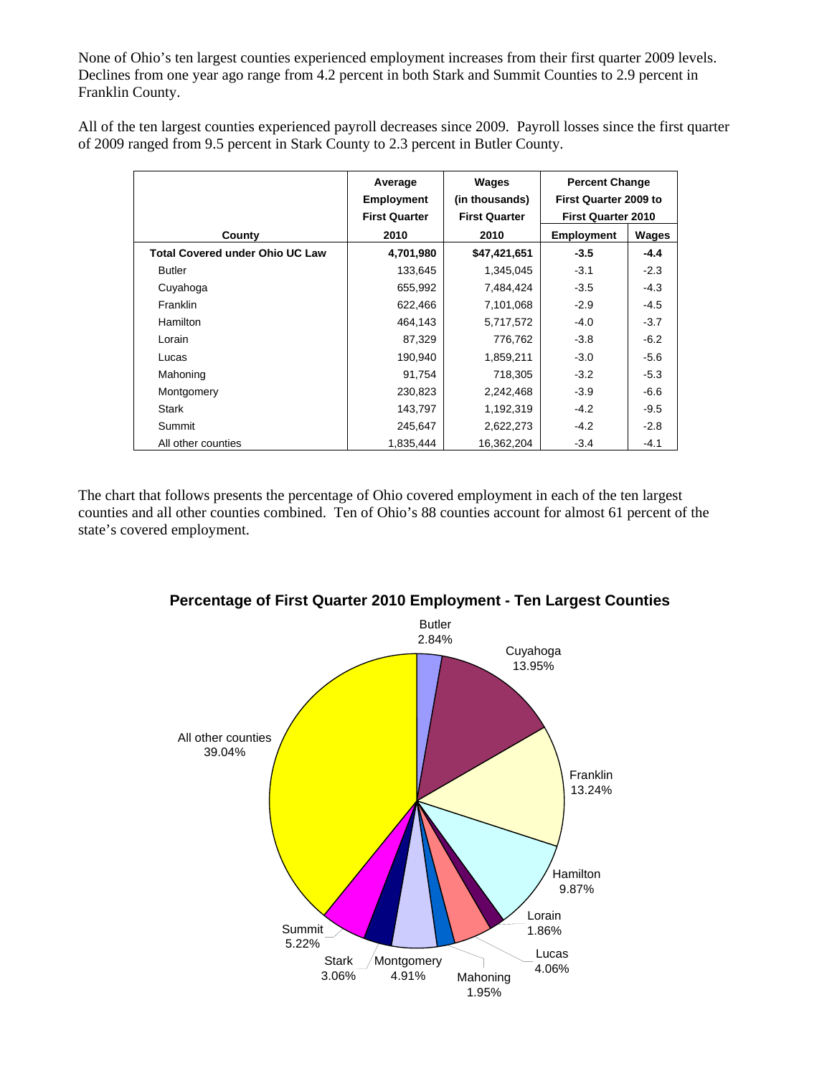None of Ohio's ten largest counties experienced employment increases from their first quarter 2009 levels. Declines from one year ago range from 4.2 percent in both Stark and Summit Counties to 2.9 percent in Franklin County.

All of the ten largest counties experienced payroll decreases since 2009. Payroll losses since the first quarter of 2009 ranged from 9.5 percent in Stark County to 2.3 percent in Butler County.

|                                        | Average<br><b>Employment</b><br><b>First Quarter</b> | Wages<br>(in thousands)<br><b>First Quarter</b> | <b>Percent Change</b><br>First Quarter 2009 to<br><b>First Quarter 2010</b> |        |
|----------------------------------------|------------------------------------------------------|-------------------------------------------------|-----------------------------------------------------------------------------|--------|
| County                                 | 2010                                                 | 2010                                            | <b>Employment</b>                                                           | Wages  |
| <b>Total Covered under Ohio UC Law</b> | 4,701,980                                            | \$47,421,651                                    | $-3.5$                                                                      | $-4.4$ |
| <b>Butler</b>                          | 133,645                                              | 1,345,045                                       | $-3.1$                                                                      | $-2.3$ |
| Cuyahoga                               | 655,992                                              | 7,484,424                                       | $-3.5$                                                                      | $-4.3$ |
| Franklin                               | 622,466                                              | 7,101,068                                       | $-2.9$                                                                      | $-4.5$ |
| <b>Hamilton</b>                        | 464,143                                              | 5,717,572                                       | $-4.0$                                                                      | $-3.7$ |
| Lorain                                 | 87,329                                               | 776,762                                         | $-3.8$                                                                      | $-6.2$ |
| Lucas                                  | 190,940                                              | 1,859,211                                       | $-3.0$                                                                      | $-5.6$ |
| Mahoning                               | 91,754                                               | 718,305                                         | $-3.2$                                                                      | $-5.3$ |
| Montgomery                             | 230,823                                              | 2,242,468                                       | $-3.9$                                                                      | $-6.6$ |
| <b>Stark</b>                           | 143,797                                              | 1,192,319                                       | $-4.2$                                                                      | $-9.5$ |
| Summit                                 | 245,647                                              | 2,622,273                                       | $-4.2$                                                                      | $-2.8$ |
| All other counties                     | 1.835.444                                            | 16,362,204                                      | $-3.4$                                                                      | $-4.1$ |

The chart that follows presents the percentage of Ohio covered employment in each of the ten largest counties and all other counties combined. Ten of Ohio's 88 counties account for almost 61 percent of the state's covered employment.



**Percentage of First Quarter 2010 Employment - Ten Largest Counties**